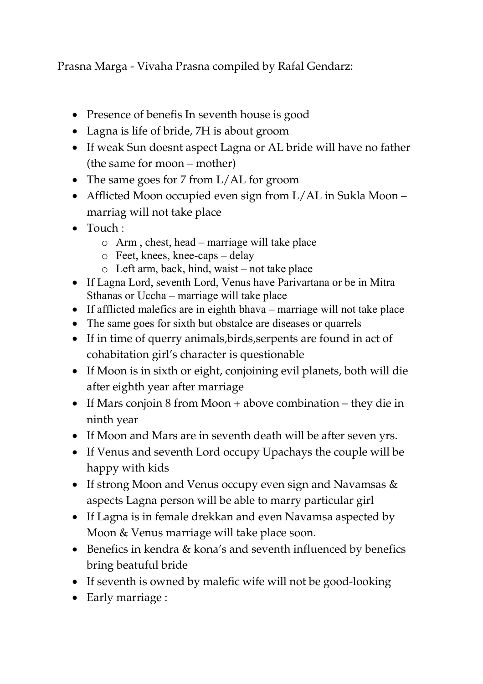Prasna Marga - Vivaha Prasna compiled by Rafal Gendarz:

- Presence of benefis In seventh house is good
- Lagna is life of bride, 7H is about groom
- If weak Sun doesnt aspect Lagna or AL bride will have no father (the same for moon – mother)
- The same goes for 7 from L/AL for groom
- Afflicted Moon occupied even sign from L/AL in Sukla Moon marriag will not take place
- $\bullet$  Touch  $\cdot$ 
	- o Arm , chest, head marriage will take place
	- o Feet, knees, knee-caps delay
	- o Left arm, back, hind, waist not take place
- If Lagna Lord, seventh Lord, Venus have Parivartana or be in Mitra Sthanas or Uccha – marriage will take place
- If afflicted malefics are in eighth bhava marriage will not take place
- The same goes for sixth but obstalce are diseases or quarrels
- If in time of querry animals, birds, serpents are found in act of cohabitation girl's character is questionable
- If Moon is in sixth or eight, conjoining evil planets, both will die after eighth year after marriage
- If Mars conjoin 8 from Moon + above combination they die in ninth year
- If Moon and Mars are in seventh death will be after seven yrs.
- If Venus and seventh Lord occupy Upachays the couple will be happy with kids
- If strong Moon and Venus occupy even sign and Navamsas & aspects Lagna person will be able to marry particular girl
- If Lagna is in female drekkan and even Navamsa aspected by Moon & Venus marriage will take place soon.
- Benefics in kendra & kona's and seventh influenced by benefics bring beatuful bride
- If seventh is owned by malefic wife will not be good-looking
- Early marriage :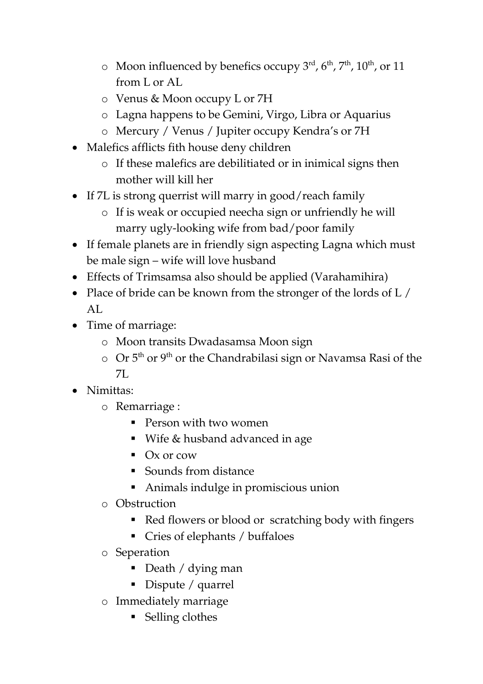- $\circ$  Moon influenced by benefics occupy 3<sup>rd</sup>, 6<sup>th</sup>, 7<sup>th</sup>, 10<sup>th</sup>, or 11 from L or AL
- o Venus & Moon occupy L or 7H
- o Lagna happens to be Gemini, Virgo, Libra or Aquarius
- o Mercury / Venus / Jupiter occupy Kendra's or 7H
- Malefics afflicts fith house deny children
	- o If these malefics are debilitiated or in inimical signs then mother will kill her
- If 7L is strong querrist will marry in good/reach family
	- o If is weak or occupied neecha sign or unfriendly he will marry ugly-looking wife from bad/poor family
- If female planets are in friendly sign aspecting Lagna which must be male sign – wife will love husband
- Effects of Trimsamsa also should be applied (Varahamihira)
- Place of bride can be known from the stronger of the lords of L / AL.
- Time of marriage:
	- o Moon transits Dwadasamsa Moon sign
	- o Or 5<sup>th</sup> or 9<sup>th</sup> or the Chandrabilasi sign or Navamsa Rasi of the 7L
- Nimittas:
	- o Remarriage :
		- **Person with two women**
		- Wife & husband advanced in age
		- $\bullet$  Ox or cow
		- Sounds from distance
		- Animals indulge in promiscious union
	- o Obstruction
		- Red flowers or blood or scratching body with fingers
		- Cries of elephants / buffaloes
	- o Seperation
		- Death / dying man
		- Dispute / quarrel
	- o Immediately marriage
		- Selling clothes